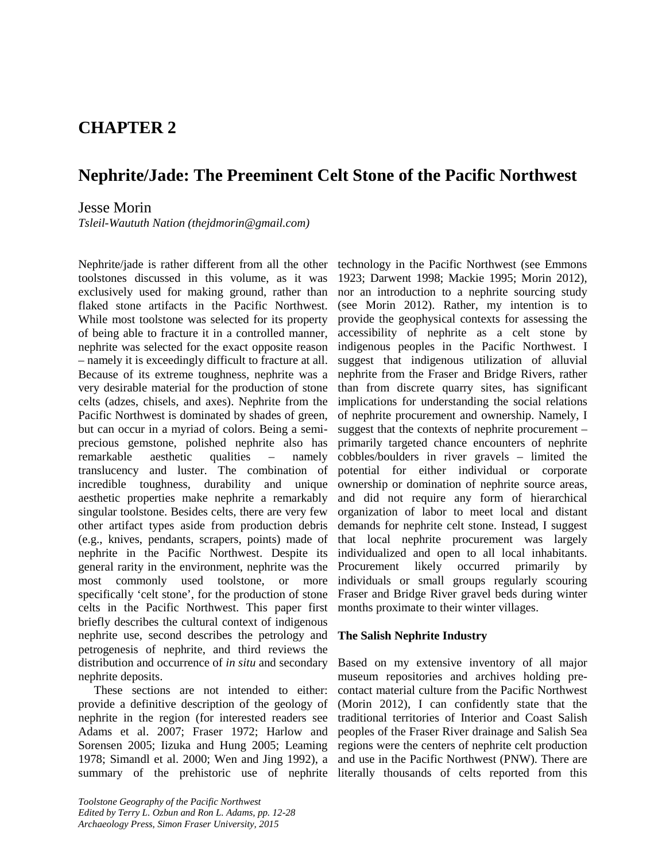# **CHAPTER 2**

# **Nephrite/Jade: The Preeminent Celt Stone of the Pacific Northwest**

# Jesse Morin

*Tsleil-Waututh Nation (thejdmorin@gmail.com)*

Nephrite/jade is rather different from all the other toolstones discussed in this volume, as it was exclusively used for making ground, rather than flaked stone artifacts in the Pacific Northwest. While most toolstone was selected for its property of being able to fracture it in a controlled manner, nephrite was selected for the exact opposite reason – namely it is exceedingly difficult to fracture at all. Because of its extreme toughness, nephrite was a very desirable material for the production of stone celts (adzes, chisels, and axes). Nephrite from the Pacific Northwest is dominated by shades of green, but can occur in a myriad of colors. Being a semiprecious gemstone, polished nephrite also has remarkable aesthetic qualities – namely translucency and luster. The combination of incredible toughness, durability and unique aesthetic properties make nephrite a remarkably singular toolstone. Besides celts, there are very few other artifact types aside from production debris (e.g., knives, pendants, scrapers, points) made of nephrite in the Pacific Northwest. Despite its general rarity in the environment, nephrite was the most commonly used toolstone, or more specifically 'celt stone', for the production of stone celts in the Pacific Northwest. This paper first briefly describes the cultural context of indigenous nephrite use, second describes the petrology and petrogenesis of nephrite, and third reviews the distribution and occurrence of *in situ* and secondary nephrite deposits.

These sections are not intended to either: provide a definitive description of the geology of nephrite in the region (for interested readers see Adams et al. 2007; Fraser 1972; Harlow and Sorensen 2005; Iizuka and Hung 2005; Leaming 1978; Simandl et al. 2000; Wen and Jing 1992), a

*Toolstone Geography of the Pacific Northwest Edited by Terry L. Ozbun and Ron L. Adams, pp. 12-28 Archaeology Press, Simon Fraser University, 2015*

technology in the Pacific Northwest (see Emmons 1923; Darwent 1998; Mackie 1995; Morin 2012), nor an introduction to a nephrite sourcing study (see Morin 2012). Rather, my intention is to provide the geophysical contexts for assessing the accessibility of nephrite as a celt stone by indigenous peoples in the Pacific Northwest. I suggest that indigenous utilization of alluvial nephrite from the Fraser and Bridge Rivers, rather than from discrete quarry sites, has significant implications for understanding the social relations of nephrite procurement and ownership. Namely, I suggest that the contexts of nephrite procurement – primarily targeted chance encounters of nephrite cobbles/boulders in river gravels – limited the potential for either individual or corporate ownership or domination of nephrite source areas, and did not require any form of hierarchical organization of labor to meet local and distant demands for nephrite celt stone. Instead, I suggest that local nephrite procurement was largely individualized and open to all local inhabitants. Procurement likely occurred primarily by individuals or small groups regularly scouring Fraser and Bridge River gravel beds during winter months proximate to their winter villages.

#### **The Salish Nephrite Industry**

summary of the prehistoric use of nephrite literally thousands of celts reported from this Based on my extensive inventory of all major museum repositories and archives holding precontact material culture from the Pacific Northwest (Morin 2012), I can confidently state that the traditional territories of Interior and Coast Salish peoples of the Fraser River drainage and Salish Sea regions were the centers of nephrite celt production and use in the Pacific Northwest (PNW). There are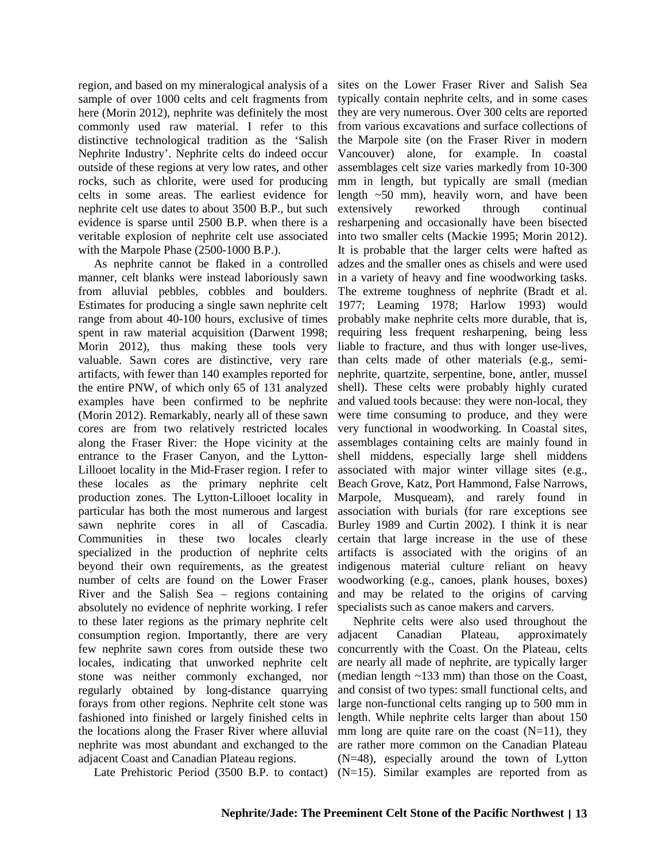region, and based on my mineralogical analysis of a sites on the Lower Fraser River and Salish Sea sample of over 1000 celts and celt fragments from here (Morin 2012), nephrite was definitely the most commonly used raw material. I refer to this distinctive technological tradition as the 'Salish Nephrite Industry'. Nephrite celts do indeed occur outside of these regions at very low rates, and other rocks, such as chlorite, were used for producing celts in some areas. The earliest evidence for nephrite celt use dates to about 3500 B.P., but such evidence is sparse until 2500 B.P. when there is a veritable explosion of nephrite celt use associated with the Marpole Phase (2500-1000 B.P.).

As nephrite cannot be flaked in a controlled manner, celt blanks were instead laboriously sawn from alluvial pebbles, cobbles and boulders. Estimates for producing a single sawn nephrite celt range from about 40-100 hours, exclusive of times spent in raw material acquisition (Darwent 1998; Morin 2012), thus making these tools very valuable. Sawn cores are distinctive, very rare artifacts, with fewer than 140 examples reported for the entire PNW, of which only 65 of 131 analyzed examples have been confirmed to be nephrite (Morin 2012). Remarkably, nearly all of these sawn cores are from two relatively restricted locales along the Fraser River: the Hope vicinity at the entrance to the Fraser Canyon, and the Lytton-Lillooet locality in the Mid-Fraser region. I refer to these locales as the primary nephrite celt production zones. The Lytton-Lillooet locality in particular has both the most numerous and largest sawn nephrite cores in all of Cascadia. Communities in these two locales clearly specialized in the production of nephrite celts beyond their own requirements, as the greatest number of celts are found on the Lower Fraser River and the Salish Sea – regions containing absolutely no evidence of nephrite working. I refer to these later regions as the primary nephrite celt consumption region. Importantly, there are very few nephrite sawn cores from outside these two locales, indicating that unworked nephrite celt stone was neither commonly exchanged, nor regularly obtained by long-distance quarrying forays from other regions. Nephrite celt stone was fashioned into finished or largely finished celts in the locations along the Fraser River where alluvial nephrite was most abundant and exchanged to the adjacent Coast and Canadian Plateau regions.

typically contain nephrite celts, and in some cases they are very numerous. Over 300 celts are reported from various excavations and surface collections of the Marpole site (on the Fraser River in modern Vancouver) alone, for example. In coastal assemblages celt size varies markedly from 10-300 mm in length, but typically are small (median length ~50 mm), heavily worn, and have been extensively reworked through continual resharpening and occasionally have been bisected into two smaller celts (Mackie 1995; Morin 2012). It is probable that the larger celts were hafted as adzes and the smaller ones as chisels and were used in a variety of heavy and fine woodworking tasks. The extreme toughness of nephrite (Bradt et al. 1977; Leaming 1978; Harlow 1993) would probably make nephrite celts more durable, that is, requiring less frequent resharpening, being less liable to fracture, and thus with longer use-lives, than celts made of other materials (e.g., seminephrite, quartzite, serpentine, bone, antler, mussel shell). These celts were probably highly curated and valued tools because: they were non-local, they were time consuming to produce, and they were very functional in woodworking. In Coastal sites, assemblages containing celts are mainly found in shell middens, especially large shell middens associated with major winter village sites (e.g., Beach Grove, Katz, Port Hammond, False Narrows, Marpole, Musqueam), and rarely found in association with burials (for rare exceptions see Burley 1989 and Curtin 2002). I think it is near certain that large increase in the use of these artifacts is associated with the origins of an indigenous material culture reliant on heavy woodworking (e.g., canoes, plank houses, boxes) and may be related to the origins of carving specialists such as canoe makers and carvers.

Late Prehistoric Period  $(3500 \text{ B.P.})$  to contact)  $(N=15)$ . Similar examples are reported from as Nephrite celts were also used throughout the adjacent Canadian Plateau, approximately concurrently with the Coast. On the Plateau, celts are nearly all made of nephrite, are typically larger (median length ~133 mm) than those on the Coast, and consist of two types: small functional celts, and large non-functional celts ranging up to 500 mm in length. While nephrite celts larger than about 150 mm long are quite rare on the coast  $(N=11)$ , they are rather more common on the Canadian Plateau (N=48), especially around the town of Lytton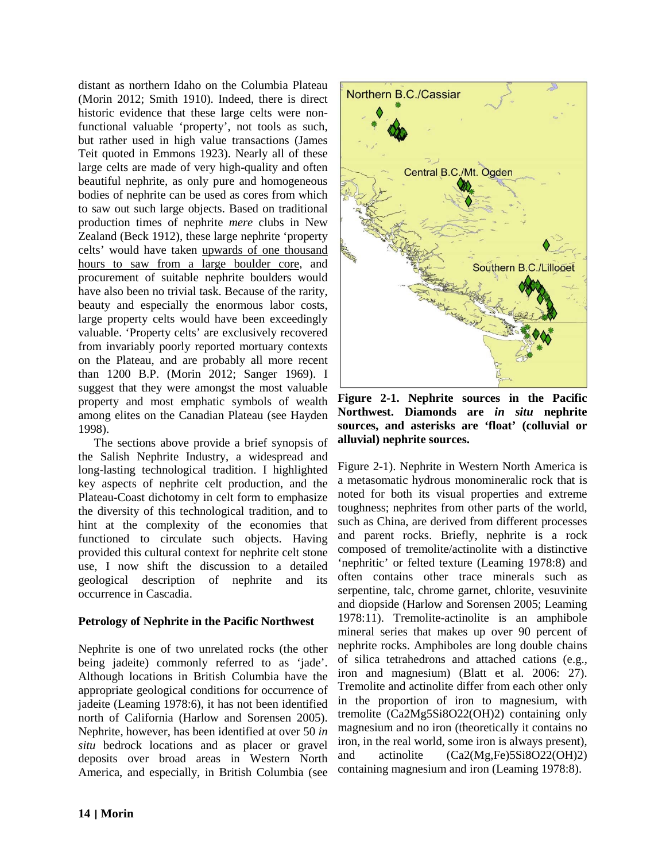distant as northern Idaho on the Columbia Plateau (Morin 2012; Smith 1910). Indeed, there is direct historic evidence that these large celts were nonfunctional valuable 'property', not tools as such, but rather used in high value transactions (James Teit quoted in Emmons 1923). Nearly all of these large celts are made of very high-quality and often beautiful nephrite, as only pure and homogeneous bodies of nephrite can be used as cores from which to saw out such large objects. Based on traditional production times of nephrite *mere* clubs in New Zealand (Beck 1912), these large nephrite 'property celts' would have taken upwards of one thousand hours to saw from a large boulder core, and procurement of suitable nephrite boulders would have also been no trivial task. Because of the rarity, beauty and especially the enormous labor costs, large property celts would have been exceedingly valuable. 'Property celts' are exclusively recovered from invariably poorly reported mortuary contexts on the Plateau, and are probably all more recent than 1200 B.P. (Morin 2012; Sanger 1969). I suggest that they were amongst the most valuable property and most emphatic symbols of wealth among elites on the Canadian Plateau (see Hayden 1998).

The sections above provide a brief synopsis of the Salish Nephrite Industry, a widespread and long-lasting technological tradition. I highlighted key aspects of nephrite celt production, and the Plateau-Coast dichotomy in celt form to emphasize the diversity of this technological tradition, and to hint at the complexity of the economies that functioned to circulate such objects. Having provided this cultural context for nephrite celt stone use, I now shift the discussion to a detailed geological description of nephrite and its occurrence in Cascadia.

# **Petrology of Nephrite in the Pacific Northwest**

Nephrite is one of two unrelated rocks (the other being jadeite) commonly referred to as 'jade'. Although locations in British Columbia have the appropriate geological conditions for occurrence of jadeite (Leaming 1978:6), it has not been identified north of California (Harlow and Sorensen 2005). Nephrite, however, has been identified at over 50 *in situ* bedrock locations and as placer or gravel deposits over broad areas in Western North America, and especially, in British Columbia (see



**Figure 2-1. Nephrite sources in the Pacific Northwest. Diamonds are** *in situ* **nephrite sources, and asterisks are 'float' (colluvial or alluvial) nephrite sources.**

Figure 2-1). Nephrite in Western North America is a metasomatic hydrous monomineralic rock that is noted for both its visual properties and extreme toughness; nephrites from other parts of the world, such as China, are derived from different processes and parent rocks. Briefly, nephrite is a rock composed of tremolite/actinolite with a distinctive 'nephritic' or felted texture (Leaming 1978:8) and often contains other trace minerals such as serpentine, talc, chrome garnet, chlorite, vesuvinite and diopside (Harlow and Sorensen 2005; Leaming 1978:11). Tremolite-actinolite is an amphibole mineral series that makes up over 90 percent of nephrite rocks. Amphiboles are long double chains of silica tetrahedrons and attached cations (e.g., iron and magnesium) (Blatt et al. 2006: 27). Tremolite and actinolite differ from each other only in the proportion of iron to magnesium, with tremolite (Ca2Mg5Si8O22(OH)2) containing only magnesium and no iron (theoretically it contains no iron, in the real world, some iron is always present), and actinolite (Ca2(Mg,Fe)5Si8O22(OH)2) containing magnesium and iron (Leaming 1978:8).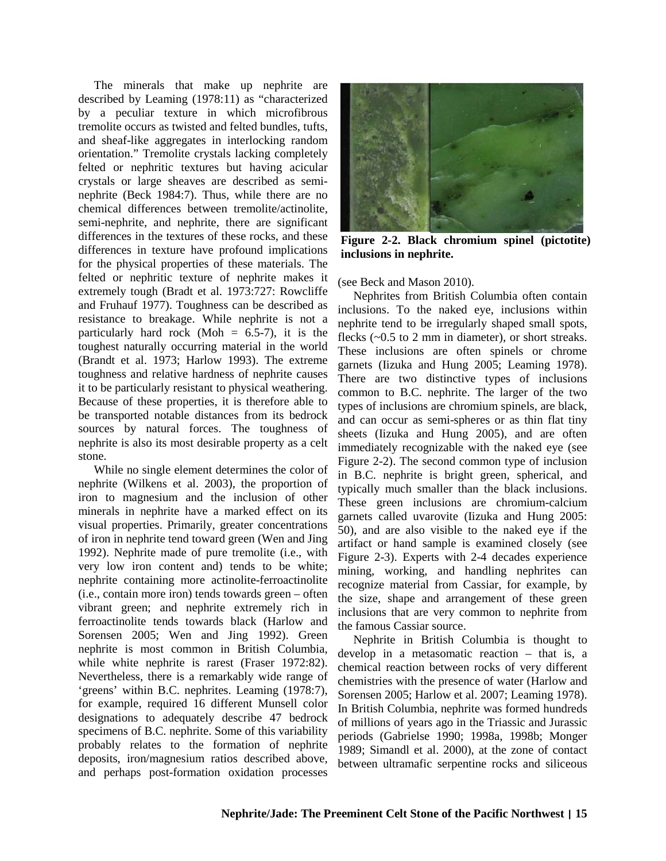The minerals that make up nephrite are described by Leaming (1978:11) as "characterized by a peculiar texture in which microfibrous tremolite occurs as twisted and felted bundles, tufts, and sheaf-like aggregates in interlocking random orientation." Tremolite crystals lacking completely felted or nephritic textures but having acicular crystals or large sheaves are described as seminephrite (Beck 1984:7). Thus, while there are no chemical differences between tremolite/actinolite, semi-nephrite, and nephrite, there are significant differences in the textures of these rocks, and these differences in texture have profound implications for the physical properties of these materials. The felted or nephritic texture of nephrite makes it extremely tough (Bradt et al. 1973:727: Rowcliffe and Fruhauf 1977). Toughness can be described as resistance to breakage. While nephrite is not a particularly hard rock (Moh  $= 6.5$ -7), it is the toughest naturally occurring material in the world (Brandt et al. 1973; Harlow 1993). The extreme toughness and relative hardness of nephrite causes it to be particularly resistant to physical weathering. Because of these properties, it is therefore able to be transported notable distances from its bedrock sources by natural forces. The toughness of nephrite is also its most desirable property as a celt stone.

While no single element determines the color of nephrite (Wilkens et al. 2003), the proportion of iron to magnesium and the inclusion of other minerals in nephrite have a marked effect on its visual properties. Primarily, greater concentrations of iron in nephrite tend toward green (Wen and Jing 1992). Nephrite made of pure tremolite (i.e., with very low iron content and) tends to be white; nephrite containing more actinolite-ferroactinolite (i.e., contain more iron) tends towards green – often vibrant green; and nephrite extremely rich in ferroactinolite tends towards black (Harlow and Sorensen 2005; Wen and Jing 1992). Green nephrite is most common in British Columbia, while white nephrite is rarest (Fraser 1972:82). Nevertheless, there is a remarkably wide range of 'greens' within B.C. nephrites. Leaming (1978:7), for example, required 16 different Munsell color designations to adequately describe 47 bedrock specimens of B.C. nephrite. Some of this variability probably relates to the formation of nephrite deposits, iron/magnesium ratios described above, and perhaps post-formation oxidation processes



**Figure 2-2. Black chromium spinel (pictotite) inclusions in nephrite.**

(see Beck and Mason 2010).

Nephrites from British Columbia often contain inclusions. To the naked eye, inclusions within nephrite tend to be irregularly shaped small spots, flecks (~0.5 to 2 mm in diameter), or short streaks. These inclusions are often spinels or chrome garnets (Iizuka and Hung 2005; Leaming 1978). There are two distinctive types of inclusions common to B.C. nephrite. The larger of the two types of inclusions are chromium spinels, are black, and can occur as semi-spheres or as thin flat tiny sheets (Iizuka and Hung 2005), and are often immediately recognizable with the naked eye (see Figure 2-2). The second common type of inclusion in B.C. nephrite is bright green, spherical, and typically much smaller than the black inclusions. These green inclusions are chromium-calcium garnets called uvarovite (Iizuka and Hung 2005: 50), and are also visible to the naked eye if the artifact or hand sample is examined closely (see Figure 2-3). Experts with 2-4 decades experience mining, working, and handling nephrites can recognize material from Cassiar, for example, by the size, shape and arrangement of these green inclusions that are very common to nephrite from the famous Cassiar source.

Nephrite in British Columbia is thought to develop in a metasomatic reaction – that is, a chemical reaction between rocks of very different chemistries with the presence of water (Harlow and Sorensen 2005; Harlow et al. 2007; Leaming 1978). In British Columbia, nephrite was formed hundreds of millions of years ago in the Triassic and Jurassic periods (Gabrielse 1990; 1998a, 1998b; Monger 1989; Simandl et al. 2000), at the zone of contact between ultramafic serpentine rocks and siliceous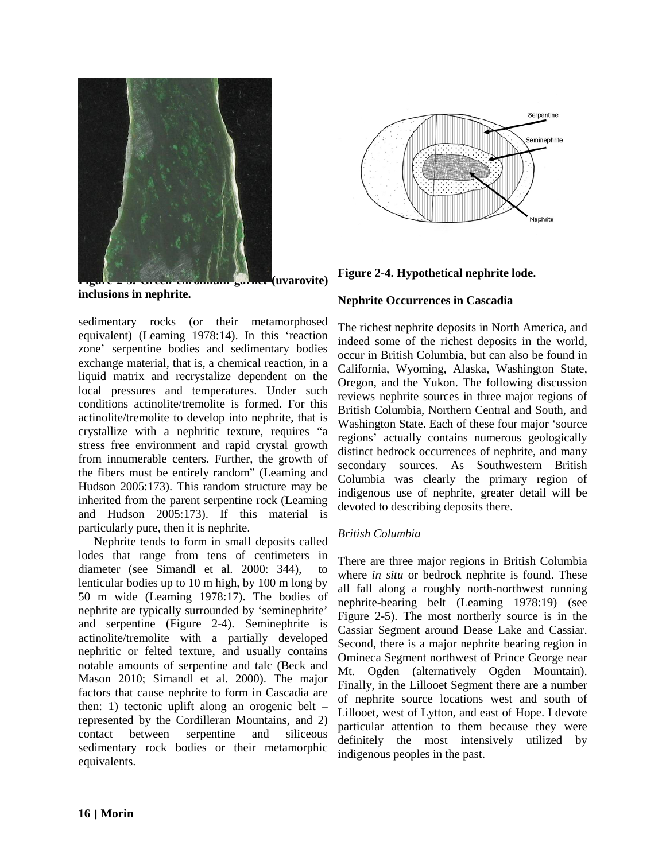

**Figure 2-3. Figure 2-3. Example 2-3. Figure 2-3. Figure 2-3. Figure 2-3. Except 2-3. Figure 2-3. Figure 2-3. F inclusions in nephrite.**

sedimentary rocks (or their metamorphosed equivalent) (Leaming 1978:14). In this 'reaction zone' serpentine bodies and sedimentary bodies exchange material, that is, a chemical reaction, in a liquid matrix and recrystalize dependent on the local pressures and temperatures. Under such conditions actinolite/tremolite is formed. For this actinolite/tremolite to develop into nephrite, that is crystallize with a nephritic texture, requires "a stress free environment and rapid crystal growth from innumerable centers. Further, the growth of the fibers must be entirely random" (Leaming and Hudson 2005:173). This random structure may be inherited from the parent serpentine rock (Leaming and Hudson 2005:173). If this material is particularly pure, then it is nephrite.

Nephrite tends to form in small deposits called lodes that range from tens of centimeters in diameter (see Simandl et al. 2000: 344), lenticular bodies up to 10 m high, by 100 m long by 50 m wide (Leaming 1978:17). The bodies of nephrite are typically surrounded by 'seminephrite' and serpentine (Figure 2-4). Seminephrite is actinolite/tremolite with a partially developed nephritic or felted texture, and usually contains notable amounts of serpentine and talc (Beck and Mason 2010; Simandl et al. 2000). The major factors that cause nephrite to form in Cascadia are then: 1) tectonic uplift along an orogenic belt – represented by the Cordilleran Mountains, and 2) contact between serpentine and siliceous sedimentary rock bodies or their metamorphic equivalents.



**Figure 2-4. Hypothetical nephrite lode.**

#### **Nephrite Occurrences in Cascadia**

The richest nephrite deposits in North America, and indeed some of the richest deposits in the world, occur in British Columbia, but can also be found in California, Wyoming, Alaska, Washington State, Oregon, and the Yukon. The following discussion reviews nephrite sources in three major regions of British Columbia, Northern Central and South, and Washington State. Each of these four major 'source regions' actually contains numerous geologically distinct bedrock occurrences of nephrite, and many secondary sources. As Southwestern British Columbia was clearly the primary region of indigenous use of nephrite, greater detail will be devoted to describing deposits there.

# *British Columbia*

There are three major regions in British Columbia where *in situ* or bedrock nephrite is found. These all fall along a roughly north-northwest running nephrite-bearing belt (Leaming 1978:19) (see Figure 2-5). The most northerly source is in the Cassiar Segment around Dease Lake and Cassiar. Second, there is a major nephrite bearing region in Omineca Segment northwest of Prince George near Mt. Ogden (alternatively Ogden Mountain). Finally, in the Lillooet Segment there are a number of nephrite source locations west and south of Lillooet, west of Lytton, and east of Hope. I devote particular attention to them because they were definitely the most intensively utilized by indigenous peoples in the past.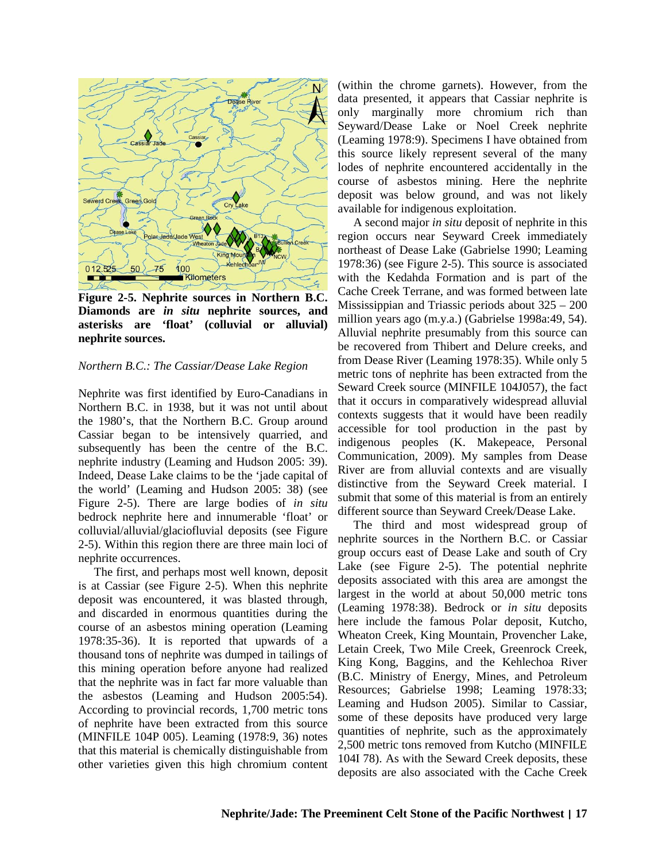

**Figure 2-5. Nephrite sources in Northern B.C. Diamonds are** *in situ* **nephrite sources, and asterisks are 'float' (colluvial or alluvial) nephrite sources.**

#### *Northern B.C.: The Cassiar/Dease Lake Region*

Nephrite was first identified by Euro-Canadians in Northern B.C. in 1938, but it was not until about the 1980's, that the Northern B.C. Group around Cassiar began to be intensively quarried, and subsequently has been the centre of the B.C. nephrite industry (Leaming and Hudson 2005: 39). Indeed, Dease Lake claims to be the 'jade capital of the world' (Leaming and Hudson 2005: 38) (see Figure 2-5). There are large bodies of *in situ*  bedrock nephrite here and innumerable 'float' or colluvial/alluvial/glaciofluvial deposits (see Figure 2-5). Within this region there are three main loci of nephrite occurrences.

The first, and perhaps most well known, deposit is at Cassiar (see Figure 2-5). When this nephrite deposit was encountered, it was blasted through, and discarded in enormous quantities during the course of an asbestos mining operation (Leaming 1978:35-36). It is reported that upwards of a thousand tons of nephrite was dumped in tailings of this mining operation before anyone had realized that the nephrite was in fact far more valuable than the asbestos (Leaming and Hudson 2005:54). According to provincial records, 1,700 metric tons of nephrite have been extracted from this source (MINFILE 104P 005). Leaming (1978:9, 36) notes that this material is chemically distinguishable from other varieties given this high chromium content (within the chrome garnets). However, from the data presented, it appears that Cassiar nephrite is only marginally more chromium rich than Seyward/Dease Lake or Noel Creek nephrite (Leaming 1978:9). Specimens I have obtained from this source likely represent several of the many lodes of nephrite encountered accidentally in the course of asbestos mining. Here the nephrite deposit was below ground, and was not likely available for indigenous exploitation.

A second major *in situ* deposit of nephrite in this region occurs near Seyward Creek immediately northeast of Dease Lake (Gabrielse 1990; Leaming 1978:36) (see Figure 2-5). This source is associated with the Kedahda Formation and is part of the Cache Creek Terrane, and was formed between late Mississippian and Triassic periods about 325 – 200 million years ago (m.y.a.) (Gabrielse 1998a:49, 54). Alluvial nephrite presumably from this source can be recovered from Thibert and Delure creeks, and from Dease River (Leaming 1978:35). While only 5 metric tons of nephrite has been extracted from the Seward Creek source (MINFILE 104J057), the fact that it occurs in comparatively widespread alluvial contexts suggests that it would have been readily accessible for tool production in the past by indigenous peoples (K. Makepeace, Personal Communication, 2009). My samples from Dease River are from alluvial contexts and are visually distinctive from the Seyward Creek material. I submit that some of this material is from an entirely different source than Seyward Creek/Dease Lake.

The third and most widespread group of nephrite sources in the Northern B.C. or Cassiar group occurs east of Dease Lake and south of Cry Lake (see Figure 2-5). The potential nephrite deposits associated with this area are amongst the largest in the world at about 50,000 metric tons (Leaming 1978:38). Bedrock or *in situ* deposits here include the famous Polar deposit, Kutcho, Wheaton Creek, King Mountain, Provencher Lake, Letain Creek, Two Mile Creek, Greenrock Creek, King Kong, Baggins, and the Kehlechoa River (B.C. Ministry of Energy, Mines, and Petroleum Resources; Gabrielse 1998; Leaming 1978:33; Leaming and Hudson 2005). Similar to Cassiar, some of these deposits have produced very large quantities of nephrite, such as the approximately 2,500 metric tons removed from Kutcho (MINFILE 104I 78). As with the Seward Creek deposits, these deposits are also associated with the Cache Creek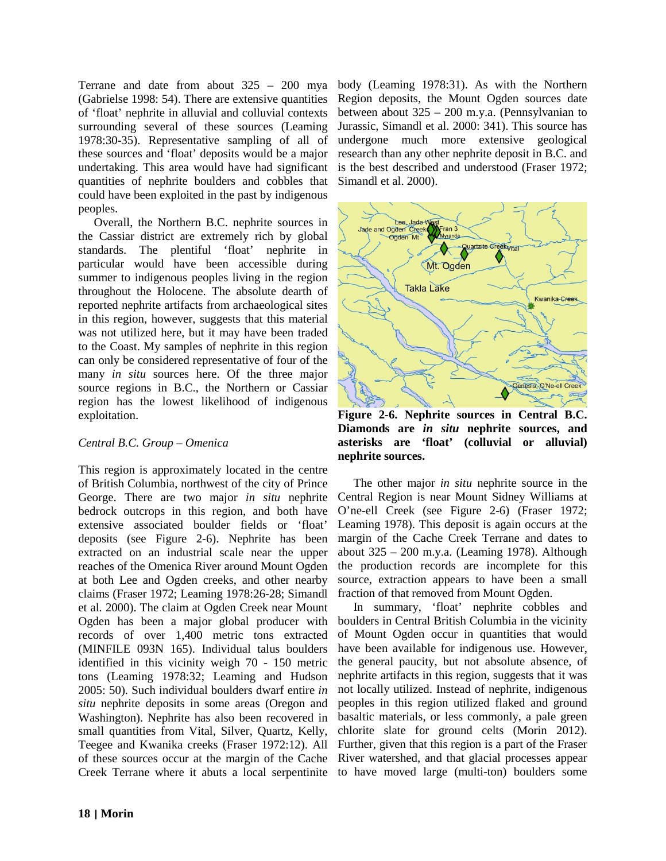Terrane and date from about 325 – 200 mya body (Leaming 1978:31). As with the Northern (Gabrielse 1998: 54). There are extensive quantities of 'float' nephrite in alluvial and colluvial contexts surrounding several of these sources (Leaming 1978:30-35). Representative sampling of all of these sources and 'float' deposits would be a major undertaking. This area would have had significant quantities of nephrite boulders and cobbles that could have been exploited in the past by indigenous peoples.

Overall, the Northern B.C. nephrite sources in the Cassiar district are extremely rich by global standards. The plentiful 'float' nephrite in particular would have been accessible during summer to indigenous peoples living in the region throughout the Holocene. The absolute dearth of reported nephrite artifacts from archaeological sites in this region, however, suggests that this material was not utilized here, but it may have been traded to the Coast. My samples of nephrite in this region can only be considered representative of four of the many *in situ* sources here. Of the three major source regions in B.C., the Northern or Cassiar region has the lowest likelihood of indigenous exploitation.

# *Central B.C. Group – Omenica*

This region is approximately located in the centre of British Columbia, northwest of the city of Prince George. There are two major *in situ* nephrite bedrock outcrops in this region, and both have extensive associated boulder fields or 'float' deposits (see Figure 2-6). Nephrite has been extracted on an industrial scale near the upper reaches of the Omenica River around Mount Ogden at both Lee and Ogden creeks, and other nearby claims (Fraser 1972; Leaming 1978:26-28; Simandl et al. 2000). The claim at Ogden Creek near Mount Ogden has been a major global producer with records of over 1,400 metric tons extracted (MINFILE 093N 165). Individual talus boulders identified in this vicinity weigh 70 - 150 metric tons (Leaming 1978:32; Leaming and Hudson 2005: 50). Such individual boulders dwarf entire *in situ* nephrite deposits in some areas (Oregon and Washington). Nephrite has also been recovered in small quantities from Vital, Silver, Quartz, Kelly, Teegee and Kwanika creeks (Fraser 1972:12). All of these sources occur at the margin of the Cache Creek Terrane where it abuts a local serpentinite to have moved large (multi-ton) boulders some

Region deposits, the Mount Ogden sources date between about 325 – 200 m.y.a. (Pennsylvanian to Jurassic, Simandl et al. 2000: 341). This source has undergone much more extensive geological research than any other nephrite deposit in B.C. and is the best described and understood (Fraser 1972; Simandl et al. 2000).



**Figure 2-6. Nephrite sources in Central B.C. Diamonds are** *in situ* **nephrite sources, and asterisks are 'float' (colluvial or alluvial) nephrite sources.** 

The other major *in situ* nephrite source in the Central Region is near Mount Sidney Williams at O'ne-ell Creek (see Figure 2-6) (Fraser 1972; Leaming 1978). This deposit is again occurs at the margin of the Cache Creek Terrane and dates to about 325 – 200 m.y.a. (Leaming 1978). Although the production records are incomplete for this source, extraction appears to have been a small fraction of that removed from Mount Ogden.

In summary, 'float' nephrite cobbles and boulders in Central British Columbia in the vicinity of Mount Ogden occur in quantities that would have been available for indigenous use. However, the general paucity, but not absolute absence, of nephrite artifacts in this region, suggests that it was not locally utilized. Instead of nephrite, indigenous peoples in this region utilized flaked and ground basaltic materials, or less commonly, a pale green chlorite slate for ground celts (Morin 2012). Further, given that this region is a part of the Fraser River watershed, and that glacial processes appear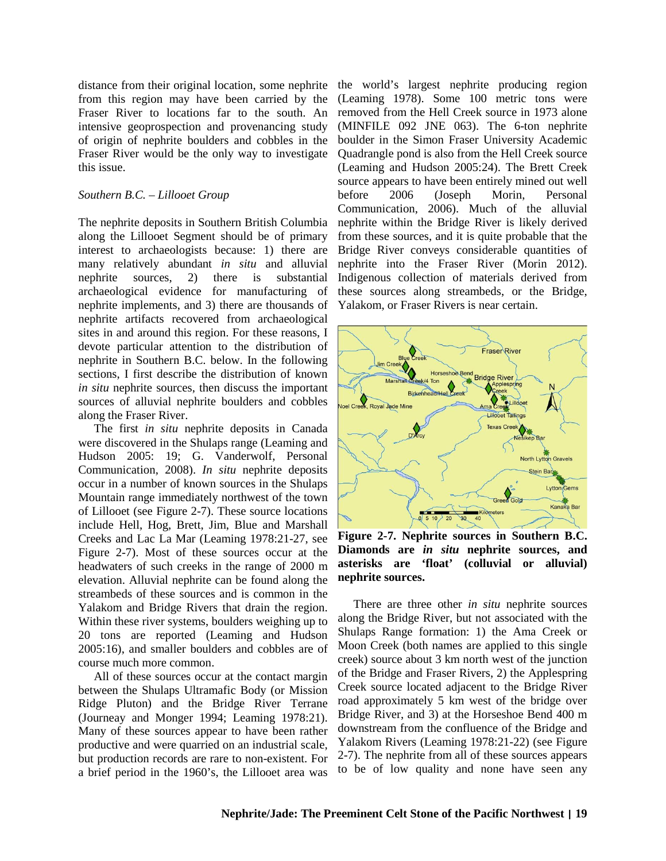distance from their original location, some nephrite from this region may have been carried by the Fraser River to locations far to the south. An intensive geoprospection and provenancing study of origin of nephrite boulders and cobbles in the Fraser River would be the only way to investigate this issue.

#### *Southern B.C. – Lillooet Group*

The nephrite deposits in Southern British Columbia along the Lillooet Segment should be of primary interest to archaeologists because: 1) there are many relatively abundant *in situ* and alluvial nephrite sources, 2) there is substantial archaeological evidence for manufacturing of nephrite implements, and 3) there are thousands of nephrite artifacts recovered from archaeological sites in and around this region. For these reasons, I devote particular attention to the distribution of nephrite in Southern B.C. below. In the following sections, I first describe the distribution of known *in situ* nephrite sources, then discuss the important sources of alluvial nephrite boulders and cobbles along the Fraser River.

The first *in situ* nephrite deposits in Canada were discovered in the Shulaps range (Leaming and Hudson 2005: 19; G. Vanderwolf, Personal Communication, 2008). *In situ* nephrite deposits occur in a number of known sources in the Shulaps Mountain range immediately northwest of the town of Lillooet (see Figure 2-7). These source locations include Hell, Hog, Brett, Jim, Blue and Marshall Creeks and Lac La Mar (Leaming 1978:21-27, see Figure 2-7). Most of these sources occur at the headwaters of such creeks in the range of 2000 m elevation. Alluvial nephrite can be found along the streambeds of these sources and is common in the Yalakom and Bridge Rivers that drain the region. Within these river systems, boulders weighing up to 20 tons are reported (Leaming and Hudson 2005:16), and smaller boulders and cobbles are of course much more common.

All of these sources occur at the contact margin between the Shulaps Ultramafic Body (or Mission Ridge Pluton) and the Bridge River Terrane (Journeay and Monger 1994; Leaming 1978:21). Many of these sources appear to have been rather productive and were quarried on an industrial scale, but production records are rare to non-existent. For a brief period in the 1960's, the Lillooet area was

the world's largest nephrite producing region (Leaming 1978). Some 100 metric tons were removed from the Hell Creek source in 1973 alone (MINFILE 092 JNE 063). The 6-ton nephrite boulder in the Simon Fraser University Academic Quadrangle pond is also from the Hell Creek source (Leaming and Hudson 2005:24). The Brett Creek source appears to have been entirely mined out well before 2006 (Joseph Morin, Personal Communication, 2006). Much of the alluvial nephrite within the Bridge River is likely derived from these sources, and it is quite probable that the Bridge River conveys considerable quantities of nephrite into the Fraser River (Morin 2012). Indigenous collection of materials derived from these sources along streambeds, or the Bridge, Yalakom, or Fraser Rivers is near certain.



**Figure 2-7. Nephrite sources in Southern B.C. Diamonds are** *in situ* **nephrite sources, and asterisks are 'float' (colluvial or alluvial) nephrite sources.**

There are three other *in situ* nephrite sources along the Bridge River, but not associated with the Shulaps Range formation: 1) the Ama Creek or Moon Creek (both names are applied to this single creek) source about 3 km north west of the junction of the Bridge and Fraser Rivers, 2) the Applespring Creek source located adjacent to the Bridge River road approximately 5 km west of the bridge over Bridge River, and 3) at the Horseshoe Bend 400 m downstream from the confluence of the Bridge and Yalakom Rivers (Leaming 1978:21-22) (see Figure 2-7). The nephrite from all of these sources appears to be of low quality and none have seen any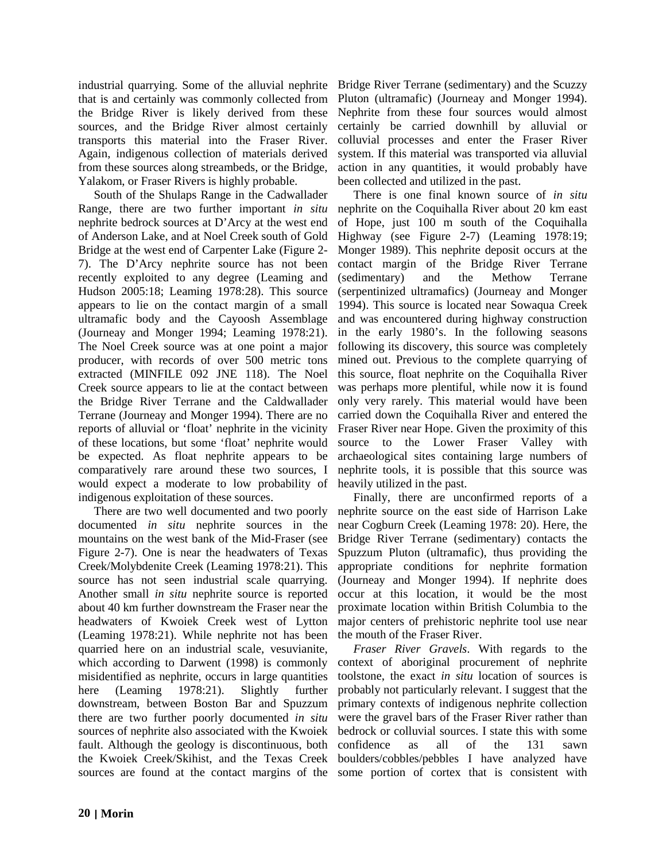industrial quarrying. Some of the alluvial nephrite Bridge River Terrane (sedimentary) and the Scuzzy that is and certainly was commonly collected from the Bridge River is likely derived from these sources, and the Bridge River almost certainly transports this material into the Fraser River. Again, indigenous collection of materials derived from these sources along streambeds, or the Bridge, Yalakom, or Fraser Rivers is highly probable.

South of the Shulaps Range in the Cadwallader Range, there are two further important *in situ*  nephrite bedrock sources at D'Arcy at the west end of Anderson Lake, and at Noel Creek south of Gold Bridge at the west end of Carpenter Lake (Figure 2- 7). The D'Arcy nephrite source has not been recently exploited to any degree (Leaming and Hudson 2005:18; Leaming 1978:28). This source appears to lie on the contact margin of a small ultramafic body and the Cayoosh Assemblage (Journeay and Monger 1994; Leaming 1978:21). The Noel Creek source was at one point a major producer, with records of over 500 metric tons extracted (MINFILE 092 JNE 118). The Noel Creek source appears to lie at the contact between the Bridge River Terrane and the Caldwallader Terrane (Journeay and Monger 1994). There are no reports of alluvial or 'float' nephrite in the vicinity of these locations, but some 'float' nephrite would be expected. As float nephrite appears to be comparatively rare around these two sources, I would expect a moderate to low probability of indigenous exploitation of these sources.

There are two well documented and two poorly documented *in situ* nephrite sources in the mountains on the west bank of the Mid-Fraser (see Figure 2-7). One is near the headwaters of Texas Creek/Molybdenite Creek (Leaming 1978:21). This source has not seen industrial scale quarrying. Another small *in situ* nephrite source is reported about 40 km further downstream the Fraser near the headwaters of Kwoiek Creek west of Lytton (Leaming 1978:21). While nephrite not has been quarried here on an industrial scale, vesuvianite, which according to Darwent (1998) is commonly misidentified as nephrite, occurs in large quantities here (Leaming 1978:21). Slightly further downstream, between Boston Bar and Spuzzum there are two further poorly documented *in situ*  sources of nephrite also associated with the Kwoiek fault. Although the geology is discontinuous, both the Kwoiek Creek/Skihist, and the Texas Creek sources are found at the contact margins of the some portion of cortex that is consistent with

Pluton (ultramafic) (Journeay and Monger 1994). Nephrite from these four sources would almost certainly be carried downhill by alluvial or colluvial processes and enter the Fraser River system. If this material was transported via alluvial action in any quantities, it would probably have been collected and utilized in the past.

There is one final known source of *in situ*  nephrite on the Coquihalla River about 20 km east of Hope, just 100 m south of the Coquihalla Highway (see Figure 2-7) (Leaming 1978:19; Monger 1989). This nephrite deposit occurs at the contact margin of the Bridge River Terrane (sedimentary) and the Methow Terrane (serpentinized ultramafics) (Journeay and Monger 1994). This source is located near Sowaqua Creek and was encountered during highway construction in the early 1980's. In the following seasons following its discovery, this source was completely mined out. Previous to the complete quarrying of this source, float nephrite on the Coquihalla River was perhaps more plentiful, while now it is found only very rarely. This material would have been carried down the Coquihalla River and entered the Fraser River near Hope. Given the proximity of this source to the Lower Fraser Valley with archaeological sites containing large numbers of nephrite tools, it is possible that this source was heavily utilized in the past.

Finally, there are unconfirmed reports of a nephrite source on the east side of Harrison Lake near Cogburn Creek (Leaming 1978: 20). Here, the Bridge River Terrane (sedimentary) contacts the Spuzzum Pluton (ultramafic), thus providing the appropriate conditions for nephrite formation (Journeay and Monger 1994). If nephrite does occur at this location, it would be the most proximate location within British Columbia to the major centers of prehistoric nephrite tool use near the mouth of the Fraser River.

*Fraser River Gravels*. With regards to the context of aboriginal procurement of nephrite toolstone, the exact *in situ* location of sources is probably not particularly relevant. I suggest that the primary contexts of indigenous nephrite collection were the gravel bars of the Fraser River rather than bedrock or colluvial sources. I state this with some confidence as all of the 131 sawn boulders/cobbles/pebbles I have analyzed have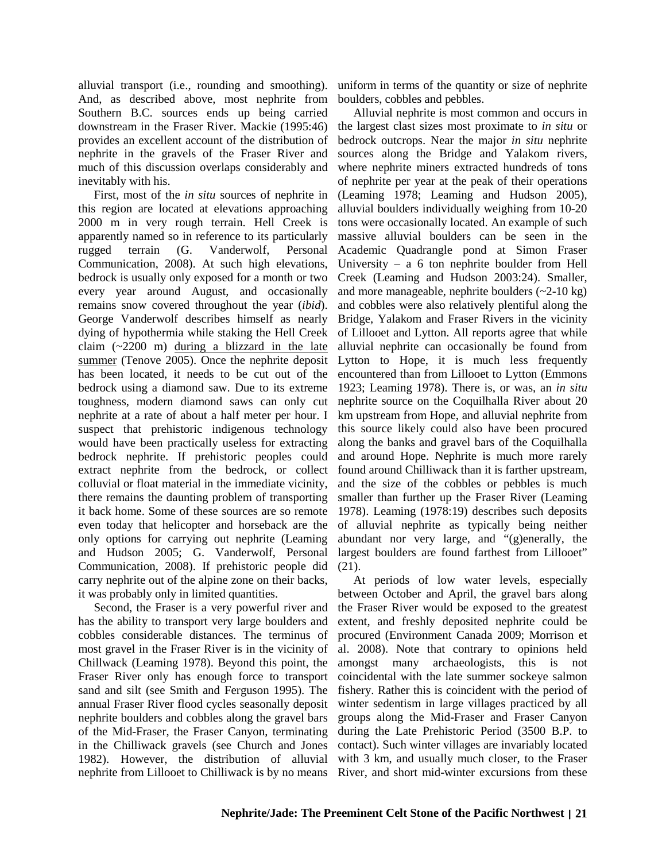alluvial transport (i.e., rounding and smoothing). And, as described above, most nephrite from Southern B.C. sources ends up being carried downstream in the Fraser River. Mackie (1995:46) provides an excellent account of the distribution of nephrite in the gravels of the Fraser River and much of this discussion overlaps considerably and inevitably with his.

First, most of the *in situ* sources of nephrite in this region are located at elevations approaching 2000 m in very rough terrain. Hell Creek is apparently named so in reference to its particularly rugged terrain (G. Vanderwolf, Personal Communication, 2008). At such high elevations, bedrock is usually only exposed for a month or two every year around August, and occasionally remains snow covered throughout the year (*ibid*). George Vanderwolf describes himself as nearly dying of hypothermia while staking the Hell Creek claim  $(-2200 \text{ m})$  during a blizzard in the late summer (Tenove 2005). Once the nephrite deposit has been located, it needs to be cut out of the bedrock using a diamond saw. Due to its extreme toughness, modern diamond saws can only cut nephrite at a rate of about a half meter per hour. I suspect that prehistoric indigenous technology would have been practically useless for extracting bedrock nephrite. If prehistoric peoples could extract nephrite from the bedrock, or collect colluvial or float material in the immediate vicinity, there remains the daunting problem of transporting it back home. Some of these sources are so remote even today that helicopter and horseback are the only options for carrying out nephrite (Leaming and Hudson 2005; G. Vanderwolf, Personal Communication, 2008). If prehistoric people did carry nephrite out of the alpine zone on their backs, it was probably only in limited quantities.

Second, the Fraser is a very powerful river and has the ability to transport very large boulders and cobbles considerable distances. The terminus of most gravel in the Fraser River is in the vicinity of Chillwack (Leaming 1978). Beyond this point, the Fraser River only has enough force to transport sand and silt (see Smith and Ferguson 1995). The annual Fraser River flood cycles seasonally deposit nephrite boulders and cobbles along the gravel bars of the Mid-Fraser, the Fraser Canyon, terminating in the Chilliwack gravels (see Church and Jones 1982). However, the distribution of alluvial nephrite from Lillooet to Chilliwack is by no means River, and short mid-winter excursions from these

uniform in terms of the quantity or size of nephrite boulders, cobbles and pebbles.

Alluvial nephrite is most common and occurs in the largest clast sizes most proximate to *in situ* or bedrock outcrops. Near the major *in situ* nephrite sources along the Bridge and Yalakom rivers, where nephrite miners extracted hundreds of tons of nephrite per year at the peak of their operations (Leaming 1978; Leaming and Hudson 2005), alluvial boulders individually weighing from 10-20 tons were occasionally located. An example of such massive alluvial boulders can be seen in the Academic Quadrangle pond at Simon Fraser University – a 6 ton nephrite boulder from Hell Creek (Leaming and Hudson 2003:24). Smaller, and more manageable, nephrite boulders  $(-2-10 \text{ kg})$ and cobbles were also relatively plentiful along the Bridge, Yalakom and Fraser Rivers in the vicinity of Lillooet and Lytton. All reports agree that while alluvial nephrite can occasionally be found from Lytton to Hope, it is much less frequently encountered than from Lillooet to Lytton (Emmons 1923; Leaming 1978). There is, or was, an *in situ*  nephrite source on the Coquilhalla River about 20 km upstream from Hope, and alluvial nephrite from this source likely could also have been procured along the banks and gravel bars of the Coquilhalla and around Hope. Nephrite is much more rarely found around Chilliwack than it is farther upstream, and the size of the cobbles or pebbles is much smaller than further up the Fraser River (Leaming 1978). Leaming (1978:19) describes such deposits of alluvial nephrite as typically being neither abundant nor very large, and "(g)enerally, the largest boulders are found farthest from Lillooet" (21).

At periods of low water levels, especially between October and April, the gravel bars along the Fraser River would be exposed to the greatest extent, and freshly deposited nephrite could be procured (Environment Canada 2009; Morrison et al. 2008). Note that contrary to opinions held amongst many archaeologists, this is not coincidental with the late summer sockeye salmon fishery. Rather this is coincident with the period of winter sedentism in large villages practiced by all groups along the Mid-Fraser and Fraser Canyon during the Late Prehistoric Period (3500 B.P. to contact). Such winter villages are invariably located with 3 km, and usually much closer, to the Fraser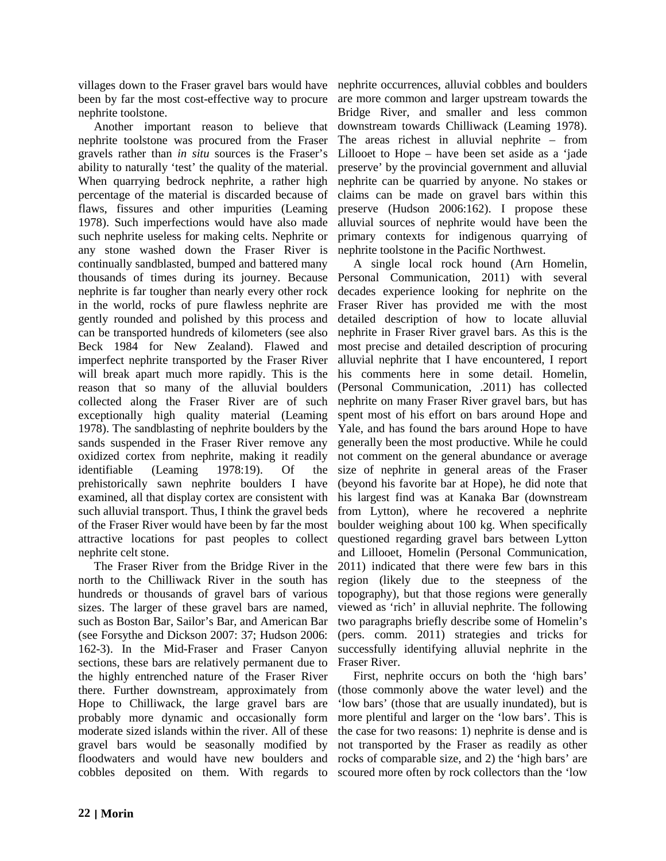villages down to the Fraser gravel bars would have nephrite occurrences, alluvial cobbles and boulders been by far the most cost-effective way to procure are more common and larger upstream towards the nephrite toolstone.

Another important reason to believe that nephrite toolstone was procured from the Fraser gravels rather than *in situ* sources is the Fraser's ability to naturally 'test' the quality of the material. When quarrying bedrock nephrite, a rather high percentage of the material is discarded because of flaws, fissures and other impurities (Leaming 1978). Such imperfections would have also made such nephrite useless for making celts. Nephrite or any stone washed down the Fraser River is continually sandblasted, bumped and battered many thousands of times during its journey. Because nephrite is far tougher than nearly every other rock in the world, rocks of pure flawless nephrite are gently rounded and polished by this process and can be transported hundreds of kilometers (see also Beck 1984 for New Zealand). Flawed and imperfect nephrite transported by the Fraser River will break apart much more rapidly. This is the reason that so many of the alluvial boulders collected along the Fraser River are of such exceptionally high quality material (Leaming 1978). The sandblasting of nephrite boulders by the sands suspended in the Fraser River remove any oxidized cortex from nephrite, making it readily identifiable (Leaming 1978:19). Of the prehistorically sawn nephrite boulders I have examined, all that display cortex are consistent with such alluvial transport. Thus, I think the gravel beds of the Fraser River would have been by far the most attractive locations for past peoples to collect nephrite celt stone.

The Fraser River from the Bridge River in the north to the Chilliwack River in the south has hundreds or thousands of gravel bars of various sizes. The larger of these gravel bars are named, such as Boston Bar, Sailor's Bar, and American Bar (see Forsythe and Dickson 2007: 37; Hudson 2006: 162-3). In the Mid-Fraser and Fraser Canyon sections, these bars are relatively permanent due to the highly entrenched nature of the Fraser River there. Further downstream, approximately from Hope to Chilliwack, the large gravel bars are probably more dynamic and occasionally form moderate sized islands within the river. All of these gravel bars would be seasonally modified by floodwaters and would have new boulders and cobbles deposited on them. With regards to scoured more often by rock collectors than the 'low

Bridge River, and smaller and less common downstream towards Chilliwack (Leaming 1978). The areas richest in alluvial nephrite – from Lillooet to Hope – have been set aside as a 'jade preserve' by the provincial government and alluvial nephrite can be quarried by anyone. No stakes or claims can be made on gravel bars within this preserve (Hudson 2006:162). I propose these alluvial sources of nephrite would have been the primary contexts for indigenous quarrying of nephrite toolstone in the Pacific Northwest.

A single local rock hound (Arn Homelin, Personal Communication, 2011) with several decades experience looking for nephrite on the Fraser River has provided me with the most detailed description of how to locate alluvial nephrite in Fraser River gravel bars. As this is the most precise and detailed description of procuring alluvial nephrite that I have encountered, I report his comments here in some detail. Homelin, (Personal Communication, .2011) has collected nephrite on many Fraser River gravel bars, but has spent most of his effort on bars around Hope and Yale, and has found the bars around Hope to have generally been the most productive. While he could not comment on the general abundance or average size of nephrite in general areas of the Fraser (beyond his favorite bar at Hope), he did note that his largest find was at Kanaka Bar (downstream from Lytton), where he recovered a nephrite boulder weighing about 100 kg. When specifically questioned regarding gravel bars between Lytton and Lillooet, Homelin (Personal Communication, 2011) indicated that there were few bars in this region (likely due to the steepness of the topography), but that those regions were generally viewed as 'rich' in alluvial nephrite. The following two paragraphs briefly describe some of Homelin's (pers. comm. 2011) strategies and tricks for successfully identifying alluvial nephrite in the Fraser River.

First, nephrite occurs on both the 'high bars' (those commonly above the water level) and the 'low bars' (those that are usually inundated), but is more plentiful and larger on the 'low bars'. This is the case for two reasons: 1) nephrite is dense and is not transported by the Fraser as readily as other rocks of comparable size, and 2) the 'high bars' are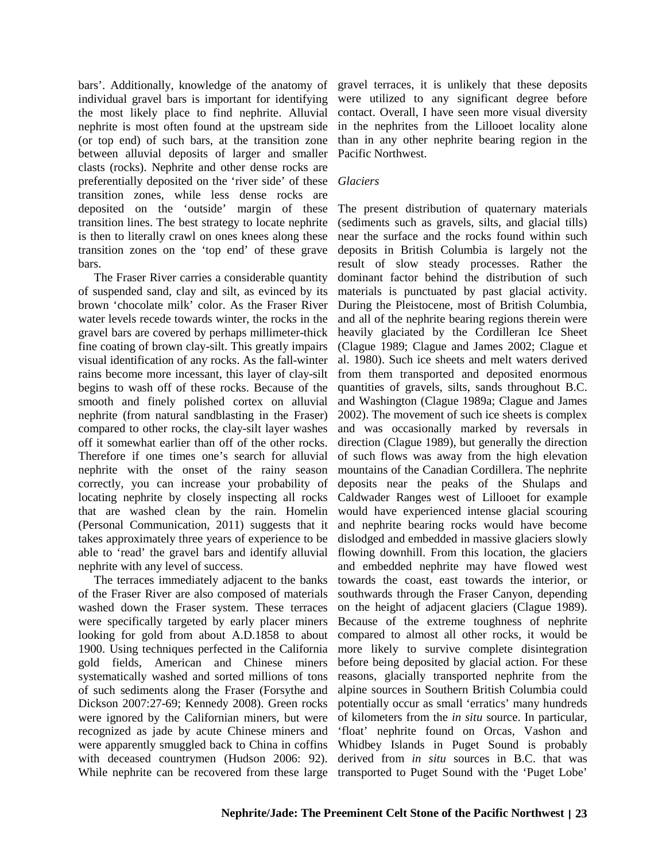bars'. Additionally, knowledge of the anatomy of individual gravel bars is important for identifying the most likely place to find nephrite. Alluvial nephrite is most often found at the upstream side (or top end) of such bars, at the transition zone between alluvial deposits of larger and smaller clasts (rocks). Nephrite and other dense rocks are preferentially deposited on the 'river side' of these transition zones, while less dense rocks are deposited on the 'outside' margin of these transition lines. The best strategy to locate nephrite is then to literally crawl on ones knees along these transition zones on the 'top end' of these grave bars.

The Fraser River carries a considerable quantity of suspended sand, clay and silt, as evinced by its brown 'chocolate milk' color. As the Fraser River water levels recede towards winter, the rocks in the gravel bars are covered by perhaps millimeter-thick fine coating of brown clay-silt. This greatly impairs visual identification of any rocks. As the fall-winter rains become more incessant, this layer of clay-silt begins to wash off of these rocks. Because of the smooth and finely polished cortex on alluvial nephrite (from natural sandblasting in the Fraser) compared to other rocks, the clay-silt layer washes off it somewhat earlier than off of the other rocks. Therefore if one times one's search for alluvial nephrite with the onset of the rainy season correctly, you can increase your probability of locating nephrite by closely inspecting all rocks that are washed clean by the rain. Homelin (Personal Communication, 2011) suggests that it takes approximately three years of experience to be able to 'read' the gravel bars and identify alluvial nephrite with any level of success.

The terraces immediately adjacent to the banks of the Fraser River are also composed of materials washed down the Fraser system. These terraces were specifically targeted by early placer miners looking for gold from about A.D.1858 to about 1900. Using techniques perfected in the California gold fields, American and Chinese miners systematically washed and sorted millions of tons of such sediments along the Fraser (Forsythe and Dickson 2007:27-69; Kennedy 2008). Green rocks were ignored by the Californian miners, but were recognized as jade by acute Chinese miners and were apparently smuggled back to China in coffins with deceased countrymen (Hudson 2006: 92).

gravel terraces, it is unlikely that these deposits were utilized to any significant degree before contact. Overall, I have seen more visual diversity in the nephrites from the Lillooet locality alone than in any other nephrite bearing region in the Pacific Northwest.

#### *Glaciers*

While nephrite can be recovered from these large transported to Puget Sound with the 'Puget Lobe' The present distribution of quaternary materials (sediments such as gravels, silts, and glacial tills) near the surface and the rocks found within such deposits in British Columbia is largely not the result of slow steady processes. Rather the dominant factor behind the distribution of such materials is punctuated by past glacial activity. During the Pleistocene, most of British Columbia, and all of the nephrite bearing regions therein were heavily glaciated by the Cordilleran Ice Sheet (Clague 1989; Clague and James 2002; Clague et al. 1980). Such ice sheets and melt waters derived from them transported and deposited enormous quantities of gravels, silts, sands throughout B.C. and Washington (Clague 1989a; Clague and James 2002). The movement of such ice sheets is complex and was occasionally marked by reversals in direction (Clague 1989), but generally the direction of such flows was away from the high elevation mountains of the Canadian Cordillera. The nephrite deposits near the peaks of the Shulaps and Caldwader Ranges west of Lillooet for example would have experienced intense glacial scouring and nephrite bearing rocks would have become dislodged and embedded in massive glaciers slowly flowing downhill. From this location, the glaciers and embedded nephrite may have flowed west towards the coast, east towards the interior, or southwards through the Fraser Canyon, depending on the height of adjacent glaciers (Clague 1989). Because of the extreme toughness of nephrite compared to almost all other rocks, it would be more likely to survive complete disintegration before being deposited by glacial action. For these reasons, glacially transported nephrite from the alpine sources in Southern British Columbia could potentially occur as small 'erratics' many hundreds of kilometers from the *in situ* source. In particular, 'float' nephrite found on Orcas, Vashon and Whidbey Islands in Puget Sound is probably derived from *in situ* sources in B.C. that was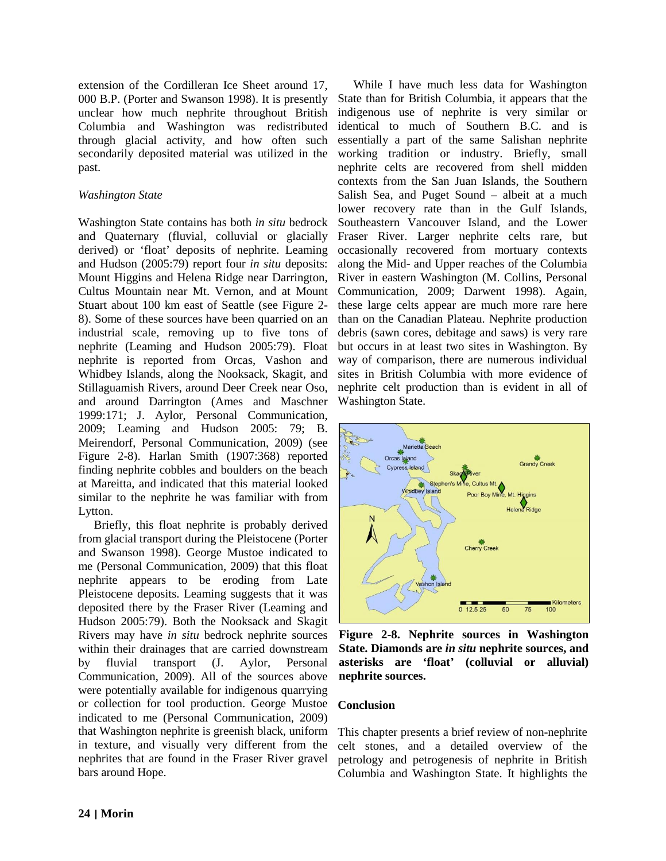extension of the Cordilleran Ice Sheet around 17, 000 B.P. (Porter and Swanson 1998). It is presently unclear how much nephrite throughout British Columbia and Washington was redistributed through glacial activity, and how often such secondarily deposited material was utilized in the past.

# *Washington State*

Washington State contains has both *in situ* bedrock and Quaternary (fluvial, colluvial or glacially derived) or 'float' deposits of nephrite. Leaming and Hudson (2005:79) report four *in situ* deposits: Mount Higgins and Helena Ridge near Darrington, Cultus Mountain near Mt. Vernon, and at Mount Stuart about 100 km east of Seattle (see Figure 2- 8). Some of these sources have been quarried on an industrial scale, removing up to five tons of nephrite (Leaming and Hudson 2005:79). Float nephrite is reported from Orcas, Vashon and Whidbey Islands, along the Nooksack, Skagit, and Stillaguamish Rivers, around Deer Creek near Oso, and around Darrington (Ames and Maschner 1999:171; J. Aylor, Personal Communication, 2009; Leaming and Hudson 2005: 79; B. Meirendorf, Personal Communication, 2009) (see Figure 2-8). Harlan Smith (1907:368) reported finding nephrite cobbles and boulders on the beach at Mareitta, and indicated that this material looked similar to the nephrite he was familiar with from Lytton.

Briefly, this float nephrite is probably derived from glacial transport during the Pleistocene (Porter and Swanson 1998). George Mustoe indicated to me (Personal Communication, 2009) that this float nephrite appears to be eroding from Late Pleistocene deposits. Leaming suggests that it was deposited there by the Fraser River (Leaming and Hudson 2005:79). Both the Nooksack and Skagit Rivers may have *in situ* bedrock nephrite sources within their drainages that are carried downstream by fluvial transport (J. Aylor, Personal Communication, 2009). All of the sources above were potentially available for indigenous quarrying or collection for tool production. George Mustoe indicated to me (Personal Communication, 2009) that Washington nephrite is greenish black, uniform in texture, and visually very different from the nephrites that are found in the Fraser River gravel bars around Hope.

While I have much less data for Washington State than for British Columbia, it appears that the indigenous use of nephrite is very similar or identical to much of Southern B.C. and is essentially a part of the same Salishan nephrite working tradition or industry. Briefly, small nephrite celts are recovered from shell midden contexts from the San Juan Islands, the Southern Salish Sea, and Puget Sound – albeit at a much lower recovery rate than in the Gulf Islands, Southeastern Vancouver Island, and the Lower Fraser River. Larger nephrite celts rare, but occasionally recovered from mortuary contexts along the Mid- and Upper reaches of the Columbia River in eastern Washington (M. Collins, Personal Communication, 2009; Darwent 1998). Again, these large celts appear are much more rare here than on the Canadian Plateau. Nephrite production debris (sawn cores, debitage and saws) is very rare but occurs in at least two sites in Washington. By way of comparison, there are numerous individual sites in British Columbia with more evidence of nephrite celt production than is evident in all of Washington State.



**Figure 2-8. Nephrite sources in Washington State. Diamonds are** *in situ* **nephrite sources, and asterisks are 'float' (colluvial or alluvial) nephrite sources.**

# **Conclusion**

This chapter presents a brief review of non-nephrite celt stones, and a detailed overview of the petrology and petrogenesis of nephrite in British Columbia and Washington State. It highlights the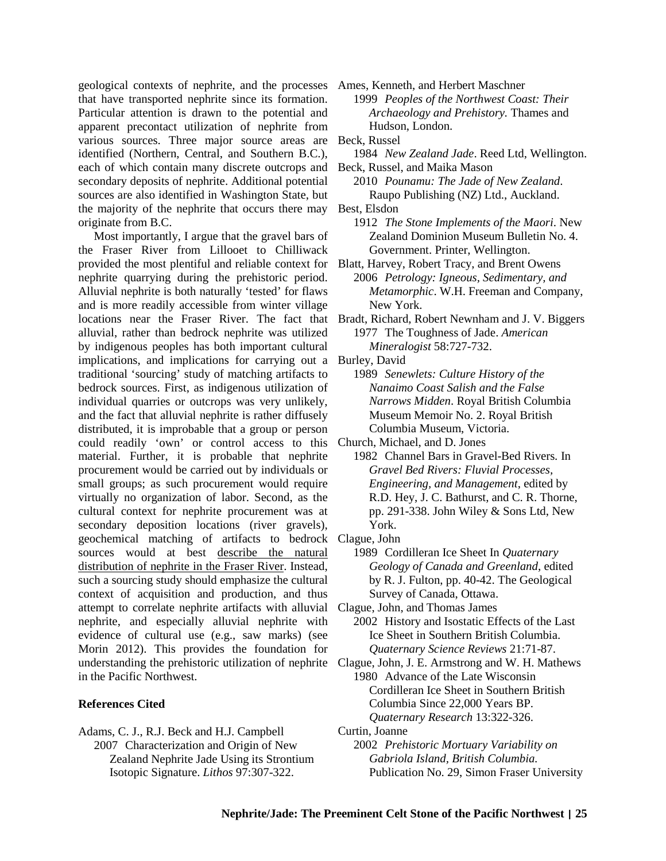geological contexts of nephrite, and the processes Ames, Kenneth, and Herbert Maschner that have transported nephrite since its formation. Particular attention is drawn to the potential and apparent precontact utilization of nephrite from various sources. Three major source areas are identified (Northern, Central, and Southern B.C.), each of which contain many discrete outcrops and secondary deposits of nephrite. Additional potential sources are also identified in Washington State, but the majority of the nephrite that occurs there may originate from B.C.

Most importantly, I argue that the gravel bars of the Fraser River from Lillooet to Chilliwack provided the most plentiful and reliable context for nephrite quarrying during the prehistoric period. Alluvial nephrite is both naturally 'tested' for flaws and is more readily accessible from winter village locations near the Fraser River. The fact that Bradt, Richard, Robert Newnham and J. V. Biggers alluvial, rather than bedrock nephrite was utilized by indigenous peoples has both important cultural implications, and implications for carrying out a traditional 'sourcing' study of matching artifacts to bedrock sources. First, as indigenous utilization of individual quarries or outcrops was very unlikely, and the fact that alluvial nephrite is rather diffusely distributed, it is improbable that a group or person could readily 'own' or control access to this material. Further, it is probable that nephrite procurement would be carried out by individuals or small groups; as such procurement would require virtually no organization of labor. Second, as the cultural context for nephrite procurement was at secondary deposition locations (river gravels), geochemical matching of artifacts to bedrock Clague, John sources would at best describe the natural distribution of nephrite in the Fraser River. Instead, such a sourcing study should emphasize the cultural context of acquisition and production, and thus attempt to correlate nephrite artifacts with alluvial nephrite, and especially alluvial nephrite with evidence of cultural use (e.g., saw marks) (see Morin 2012). This provides the foundation for understanding the prehistoric utilization of nephrite in the Pacific Northwest.

#### **References Cited**

Adams, C. J., R.J. Beck and H.J. Campbell 2007 Characterization and Origin of New Zealand Nephrite Jade Using its Strontium Isotopic Signature. *Lithos* 97:307-322.

1999 *Peoples of the Northwest Coast: Their Archaeology and Prehistory.* Thames and Hudson, London.

Beck, Russel

- 1984 *New Zealand Jade*. Reed Ltd, Wellington.
- Beck, Russel, and Maika Mason
	- 2010 *Pounamu: The Jade of New Zealand*. Raupo Publishing (NZ) Ltd., Auckland.
- Best, Elsdon
	- 1912 *The Stone Implements of the Maori*. New Zealand Dominion Museum Bulletin No. 4. Government. Printer, Wellington.
- Blatt, Harvey, Robert Tracy, and Brent Owens 2006 *Petrology: Igneous, Sedimentary, and Metamorphic*. W.H. Freeman and Company, New York.

1977 The Toughness of Jade. *American Mineralogist* 58:727-732.

- Burley, David
	- 1989 *Senewlets: Culture History of the Nanaimo Coast Salish and the False Narrows Midden*. Royal British Columbia Museum Memoir No. 2. Royal British Columbia Museum, Victoria.

Church, Michael, and D. Jones

- 1982 Channel Bars in Gravel-Bed Rivers*.* In *Gravel Bed Rivers: Fluvial Processes, Engineering, and Management*, edited by R.D. Hey, J. C. Bathurst, and C. R. Thorne, pp. 291-338. John Wiley & Sons Ltd, New York.
- - 1989 Cordilleran Ice Sheet In *Quaternary Geology of Canada and Greenland*, edited by R. J. Fulton, pp. 40-42. The Geological Survey of Canada, Ottawa.
- Clague, John, and Thomas James 2002 History and Isostatic Effects of the Last Ice Sheet in Southern British Columbia. *Quaternary Science Reviews* 21:71-87.
- Clague, John, J. E. Armstrong and W. H. Mathews 1980 Advance of the Late Wisconsin Cordilleran Ice Sheet in Southern British Columbia Since 22,000 Years BP. *Quaternary Research* 13:322-326.
- Curtin, Joanne 2002 *Prehistoric Mortuary Variability on Gabriola Island, British Columbia.* Publication No. 29, Simon Fraser University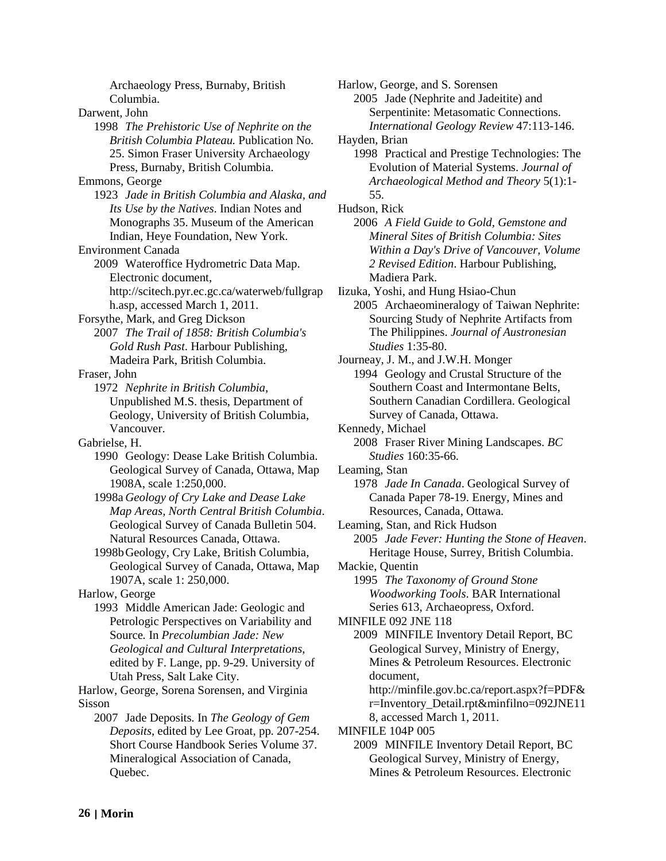Archaeology Press, Burnaby, British Columbia. Darwent, John 1998 *The Prehistoric Use of Nephrite on the British Columbia Plateau.* Publication No. 25. Simon Fraser University Archaeology Press, Burnaby, British Columbia. Emmons, George 1923 *Jade in British Columbia and Alaska, and Its Use by the Natives*. Indian Notes and Monographs 35. Museum of the American Indian, Heye Foundation, New York. Environment Canada 2009 Wateroffice Hydrometric Data Map. Electronic document,

[http://scitech.pyr.ec.gc.ca/waterweb/fullgrap](http://scitech.pyr.ec.gc.ca/waterweb/fullgraph.asp) [h.asp,](http://scitech.pyr.ec.gc.ca/waterweb/fullgraph.asp) accessed March 1, 2011.

Forsythe, Mark, and Greg Dickson

2007 *The Trail of 1858: British Columbia's Gold Rush Past*. Harbour Publishing, Madeira Park, British Columbia.

Fraser, John

1972 *Nephrite in British Columbia*, Unpublished M.S. thesis, Department of Geology, University of British Columbia, Vancouver.

Gabrielse, H.

1990 Geology: Dease Lake British Columbia. Geological Survey of Canada, Ottawa, Map 1908A, scale 1:250,000.

- 1998a *Geology of Cry Lake and Dease Lake Map Areas, North Central British Columbia*. Geological Survey of Canada Bulletin 504. Natural Resources Canada, Ottawa.
- 1998bGeology, Cry Lake, British Columbia, Geological Survey of Canada, Ottawa, Map 1907A, scale 1: 250,000.

Harlow, George

1993 Middle American Jade: Geologic and Petrologic Perspectives on Variability and Source*.* In *Precolumbian Jade: New Geological and Cultural Interpretations*, edited by F. Lange, pp. 9-29. University of Utah Press, Salt Lake City.

Harlow, George, Sorena Sorensen, and Virginia Sisson

2007 Jade Deposits*.* In *The Geology of Gem Deposits*, edited by Lee Groat, pp. 207-254. Short Course Handbook Series Volume 37. Mineralogical Association of Canada, Quebec.

Harlow, George, and S. Sorensen 2005 Jade (Nephrite and Jadeitite) and Serpentinite: Metasomatic Connections. *International Geology Review* 47:113-146. Hayden, Brian 1998 Practical and Prestige Technologies: The Evolution of Material Systems. *Journal of Archaeological Method and Theory* 5(1):1- 55. Hudson, Rick 2006 *A Field Guide to Gold, Gemstone and Mineral Sites of British Columbia: Sites Within a Day's Drive of Vancouver, Volume 2 Revised Edition*. Harbour Publishing, Madiera Park. Iizuka, Yoshi, and Hung Hsiao-Chun 2005 Archaeomineralogy of Taiwan Nephrite: Sourcing Study of Nephrite Artifacts from The Philippines. *Journal of Austronesian Studies* 1:35-80. Journeay, J. M., and J.W.H. Monger 1994 Geology and Crustal Structure of the Southern Coast and Intermontane Belts, Southern Canadian Cordillera. Geological Survey of Canada, Ottawa. Kennedy, Michael 2008 Fraser River Mining Landscapes. *BC Studies* 160:35-66. Leaming, Stan 1978 *Jade In Canada*. Geological Survey of Canada Paper 78-19. Energy, Mines and Resources, Canada, Ottawa. Leaming, Stan, and Rick Hudson 2005 *Jade Fever: Hunting the Stone of Heaven*. Heritage House, Surrey, British Columbia. Mackie, Quentin 1995 *The Taxonomy of Ground Stone Woodworking Tools*. BAR International Series 613, Archaeopress, Oxford. MINFILE 092 JNE 118 2009 MINFILE Inventory Detail Report, BC Geological Survey, Ministry of Energy, Mines & Petroleum Resources. Electronic document, [http://minfile.gov.bc.ca/report.aspx?f=PDF&](http://minfile.gov.bc.ca/report.aspx?f=PDF&r=Inventory_Detail.rpt&minfilno=092JNE118) [r=Inventory\\_Detail.rpt&minfilno=092JNE11](http://minfile.gov.bc.ca/report.aspx?f=PDF&r=Inventory_Detail.rpt&minfilno=092JNE118) [8,](http://minfile.gov.bc.ca/report.aspx?f=PDF&r=Inventory_Detail.rpt&minfilno=092JNE118) accessed March 1, 2011. MINFILE 104P 005

2009 MINFILE Inventory Detail Report, BC Geological Survey, Ministry of Energy, Mines & Petroleum Resources. Electronic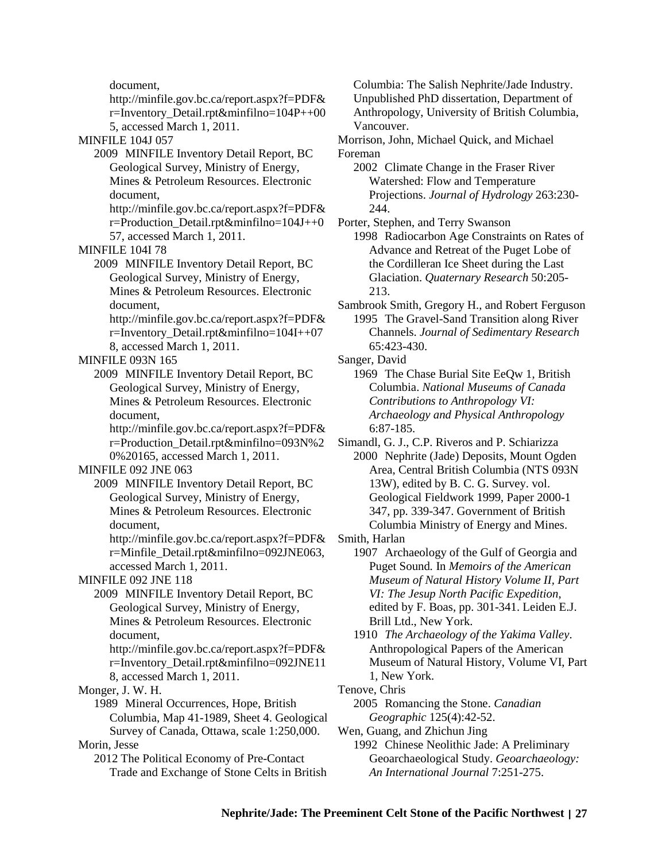document,

[http://minfile.gov.bc.ca/report.aspx?f=PDF&](http://minfile.gov.bc.ca/report.aspx?f=PDF&r=Inventory_Detail.rpt&minfilno=104P++005) [r=Inventory\\_Detail.rpt&minfilno=104P++00](http://minfile.gov.bc.ca/report.aspx?f=PDF&r=Inventory_Detail.rpt&minfilno=104P++005) [5,](http://minfile.gov.bc.ca/report.aspx?f=PDF&r=Inventory_Detail.rpt&minfilno=104P++005) accessed March 1, 2011.

MINFILE 104J 057

- 2009 MINFILE Inventory Detail Report, BC Geological Survey, Ministry of Energy, Mines & Petroleum Resources. Electronic document,
	- [http://minfile.gov.bc.ca/report.aspx?f=PDF&](ttp://minfile.gov.bc.ca/report.aspx?f=PDF&r=Production_Detail.rpt&minfilno=) [r=Production\\_Detail.rpt&minfilno=1](ttp://minfile.gov.bc.ca/report.aspx?f=PDF&r=Production_Detail.rpt&minfilno=)04J++0

57, accessed March 1, 2011.

MINFILE 104I 78

- 2009 MINFILE Inventory Detail Report, BC Geological Survey, Ministry of Energy, Mines & Petroleum Resources. Electronic document,
	- [http://minfile.gov.bc.ca/report.aspx?f=PDF&](http://minfile.gov.bc.ca/report.aspx?f=PDF&r=Inventory_Detail.rpt&minfilno=104I++078) [r=Inventory\\_Detail.rpt&minfilno=104I++07](http://minfile.gov.bc.ca/report.aspx?f=PDF&r=Inventory_Detail.rpt&minfilno=104I++078) [8,](http://minfile.gov.bc.ca/report.aspx?f=PDF&r=Inventory_Detail.rpt&minfilno=104I++078) accessed March 1, 2011.
- MINFILE 093N 165
	- 2009 MINFILE Inventory Detail Report, BC Geological Survey, Ministry of Energy, Mines & Petroleum Resources. Electronic document,
		- [http://minfile.gov.bc.ca/report.aspx?f=PDF&](http://minfile.gov.bc.ca/report.aspx?f=PDF&r=Production_Detail.rpt&minfilno=093N%20%20165) [r=Production\\_Detail.rpt&minfilno=093N%2](http://minfile.gov.bc.ca/report.aspx?f=PDF&r=Production_Detail.rpt&minfilno=093N%20%20165) [0%20165,](http://minfile.gov.bc.ca/report.aspx?f=PDF&r=Production_Detail.rpt&minfilno=093N%20%20165) accessed March 1, 2011.

### MINFILE 092 JNE 063

- 2009 MINFILE Inventory Detail Report, BC Geological Survey, Ministry of Energy, Mines & Petroleum Resources. Electronic document,
	- [http://minfile.gov.bc.ca/report.aspx?f=PDF&](http://minfile.gov.bc.ca/report.aspx?f=PDF&r=Minfile_Detail.rpt&minfilno=092JNE063) [r=Minfile\\_Detail.rpt&minfilno=092JNE063,](http://minfile.gov.bc.ca/report.aspx?f=PDF&r=Minfile_Detail.rpt&minfilno=092JNE063) accessed March 1, 2011.

#### MINFILE 092 JNE 118

- 2009 MINFILE Inventory Detail Report, BC Geological Survey, Ministry of Energy, Mines & Petroleum Resources. Electronic document, [http://minfile.gov.bc.ca/report.aspx?f=PDF&](http://minfile.gov.bc.ca/report.aspx?f=PDF&r=Inventory_Detail.rpt&minfilno=092JNE118)
	- [r=Inventory\\_Detail.rpt&minfilno=092JNE11](http://minfile.gov.bc.ca/report.aspx?f=PDF&r=Inventory_Detail.rpt&minfilno=092JNE118) [8,](http://minfile.gov.bc.ca/report.aspx?f=PDF&r=Inventory_Detail.rpt&minfilno=092JNE118) accessed March 1, 2011.

Monger, J. W. H.

1989 Mineral Occurrences, Hope, British Columbia, Map 41-1989, Sheet 4. Geological Survey of Canada, Ottawa, scale 1:250,000.

Morin, Jesse

2012 The Political Economy of Pre-Contact Trade and Exchange of Stone Celts in British Columbia: The Salish Nephrite/Jade Industry. Unpublished PhD dissertation, Department of Anthropology, University of British Columbia, Vancouver.

- Morrison, John, Michael Quick, and Michael Foreman
	- 2002 Climate Change in the Fraser River Watershed: Flow and Temperature Projections. *Journal of Hydrology* 263:230- 244.

Porter, Stephen, and Terry Swanson

1998 Radiocarbon Age Constraints on Rates of Advance and Retreat of the Puget Lobe of the Cordilleran Ice Sheet during the Last Glaciation. *Quaternary Research* 50:205- 213.

- Sambrook Smith, Gregory H., and Robert Ferguson 1995 The Gravel-Sand Transition along River Channels. *Journal of Sedimentary Research* 65:423-430.
- Sanger, David

1969 The Chase Burial Site EeQw 1, British Columbia. *National Museums of Canada Contributions to Anthropology VI: Archaeology and Physical Anthropology* 6:87-185.

Simandl, G. J., C.P. Riveros and P. Schiarizza 2000 Nephrite (Jade) Deposits, Mount Ogden Area, Central British Columbia (NTS 093N

- 13W), edited by B. C. G. Survey. vol. Geological Fieldwork 1999, Paper 2000-1 347, pp. 339-347. Government of British Columbia Ministry of Energy and Mines.
- Smith, Harlan
	- 1907 Archaeology of the Gulf of Georgia and Puget Sound*.* In *Memoirs of the American Museum of Natural History Volume II, Part VI: The Jesup North Pacific Expedition*, edited by F. Boas, pp. 301-341. Leiden E.J. Brill Ltd., New York.
	- 1910 *The Archaeology of the Yakima Valley*. Anthropological Papers of the American Museum of Natural History, Volume VI, Part 1, New York.
- Tenove, Chris
	- 2005 Romancing the Stone. *Canadian Geographic* 125(4):42-52.
- Wen, Guang, and Zhichun Jing
	- 1992 Chinese Neolithic Jade: A Preliminary Geoarchaeological Study. *Geoarchaeology: An International Journal* 7:251-275.